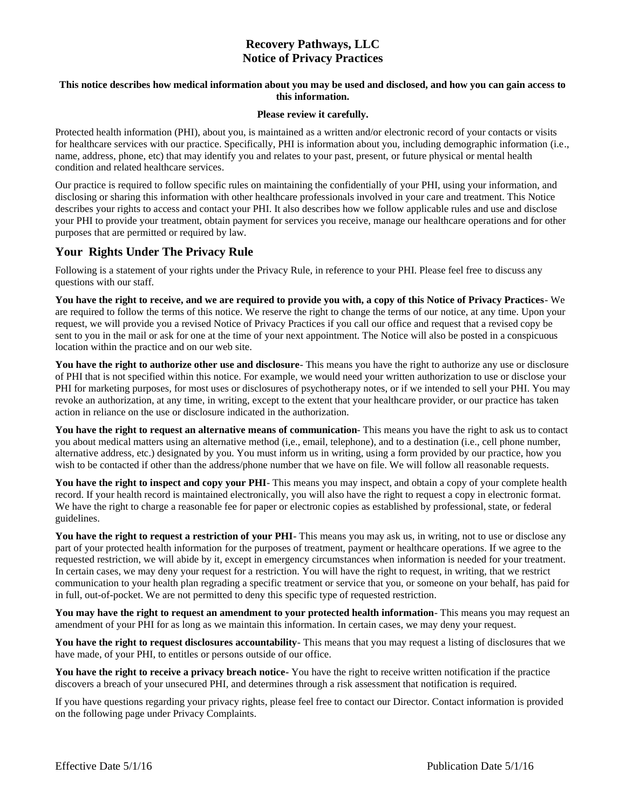# **Recovery Pathways, LLC Notice of Privacy Practices**

### **This notice describes how medical information about you may be used and disclosed, and how you can gain access to this information.**

#### **Please review it carefully.**

Protected health information (PHI), about you, is maintained as a written and/or electronic record of your contacts or visits for healthcare services with our practice. Specifically, PHI is information about you, including demographic information (i.e., name, address, phone, etc) that may identify you and relates to your past, present, or future physical or mental health condition and related healthcare services.

Our practice is required to follow specific rules on maintaining the confidentially of your PHI, using your information, and disclosing or sharing this information with other healthcare professionals involved in your care and treatment. This Notice describes your rights to access and contact your PHI. It also describes how we follow applicable rules and use and disclose your PHI to provide your treatment, obtain payment for services you receive, manage our healthcare operations and for other purposes that are permitted or required by law.

## **Your Rights Under The Privacy Rule**

Following is a statement of your rights under the Privacy Rule, in reference to your PHI. Please feel free to discuss any questions with our staff.

**You have the right to receive, and we are required to provide you with, a copy of this Notice of Privacy Practices**- We are required to follow the terms of this notice. We reserve the right to change the terms of our notice, at any time. Upon your request, we will provide you a revised Notice of Privacy Practices if you call our office and request that a revised copy be sent to you in the mail or ask for one at the time of your next appointment. The Notice will also be posted in a conspicuous location within the practice and on our web site.

**You have the right to authorize other use and disclosure**- This means you have the right to authorize any use or disclosure of PHI that is not specified within this notice. For example, we would need your written authorization to use or disclose your PHI for marketing purposes, for most uses or disclosures of psychotherapy notes, or if we intended to sell your PHI. You may revoke an authorization, at any time, in writing, except to the extent that your healthcare provider, or our practice has taken action in reliance on the use or disclosure indicated in the authorization.

**You have the right to request an alternative means of communication**- This means you have the right to ask us to contact you about medical matters using an alternative method (i,e., email, telephone), and to a destination (i.e., cell phone number, alternative address, etc.) designated by you. You must inform us in writing, using a form provided by our practice, how you wish to be contacted if other than the address/phone number that we have on file. We will follow all reasonable requests.

**You have the right to inspect and copy your PHI**- This means you may inspect, and obtain a copy of your complete health record. If your health record is maintained electronically, you will also have the right to request a copy in electronic format. We have the right to charge a reasonable fee for paper or electronic copies as established by professional, state, or federal guidelines.

**You have the right to request a restriction of your PHI**- This means you may ask us, in writing, not to use or disclose any part of your protected health information for the purposes of treatment, payment or healthcare operations. If we agree to the requested restriction, we will abide by it, except in emergency circumstances when information is needed for your treatment. In certain cases, we may deny your request for a restriction. You will have the right to request, in writing, that we restrict communication to your health plan regrading a specific treatment or service that you, or someone on your behalf, has paid for in full, out-of-pocket. We are not permitted to deny this specific type of requested restriction.

**You may have the right to request an amendment to your protected health information**- This means you may request an amendment of your PHI for as long as we maintain this information. In certain cases, we may deny your request.

**You have the right to request disclosures accountability**- This means that you may request a listing of disclosures that we have made, of your PHI, to entitles or persons outside of our office.

**You have the right to receive a privacy breach notice-** You have the right to receive written notification if the practice discovers a breach of your unsecured PHI, and determines through a risk assessment that notification is required.

If you have questions regarding your privacy rights, please feel free to contact our Director. Contact information is provided on the following page under Privacy Complaints.